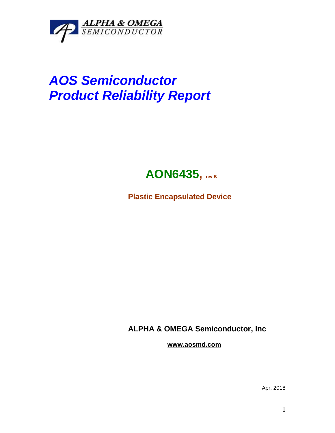

## *AOS Semiconductor Product Reliability Report*



**Plastic Encapsulated Device**

**ALPHA & OMEGA Semiconductor, Inc**

**www.aosmd.com**

Apr, 2018